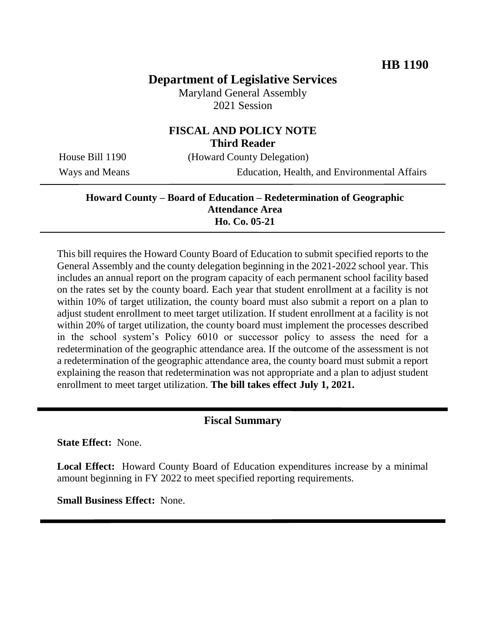# **Department of Legislative Services**

Maryland General Assembly 2021 Session

### **FISCAL AND POLICY NOTE Third Reader**

House Bill 1190 (Howard County Delegation)

Ways and Means Education, Health, and Environmental Affairs

#### **Howard County – Board of Education – Redetermination of Geographic Attendance Area Ho. Co. 05-21**

This bill requires the Howard County Board of Education to submit specified reports to the General Assembly and the county delegation beginning in the 2021-2022 school year. This includes an annual report on the program capacity of each permanent school facility based on the rates set by the county board. Each year that student enrollment at a facility is not within 10% of target utilization, the county board must also submit a report on a plan to adjust student enrollment to meet target utilization. If student enrollment at a facility is not within 20% of target utilization, the county board must implement the processes described in the school system's Policy 6010 or successor policy to assess the need for a redetermination of the geographic attendance area. If the outcome of the assessment is not a redetermination of the geographic attendance area, the county board must submit a report explaining the reason that redetermination was not appropriate and a plan to adjust student enrollment to meet target utilization. **The bill takes effect July 1, 2021.**

### **Fiscal Summary**

**State Effect:** None.

**Local Effect:** Howard County Board of Education expenditures increase by a minimal amount beginning in FY 2022 to meet specified reporting requirements.

**Small Business Effect:** None.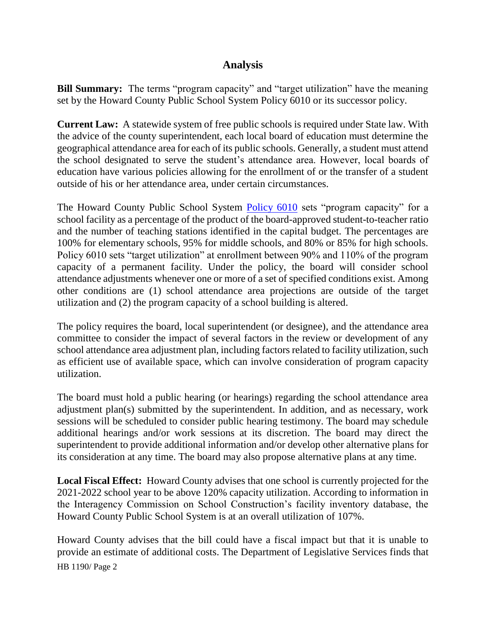## **Analysis**

**Bill Summary:** The terms "program capacity" and "target utilization" have the meaning set by the Howard County Public School System Policy 6010 or its successor policy.

**Current Law:** A statewide system of free public schools is required under State law. With the advice of the county superintendent, each local board of education must determine the geographical attendance area for each of its public schools. Generally, a student must attend the school designated to serve the student's attendance area. However, local boards of education have various policies allowing for the enrollment of or the transfer of a student outside of his or her attendance area, under certain circumstances.

The Howard County Public School System [Policy 6010](https://www.hcpss.org/policies/6000/6010-school-attendance-areas/) sets "program capacity" for a school facility as a percentage of the product of the board-approved student-to-teacher ratio and the number of teaching stations identified in the capital budget. The percentages are 100% for elementary schools, 95% for middle schools, and 80% or 85% for high schools. Policy 6010 sets "target utilization" at enrollment between 90% and 110% of the program capacity of a permanent facility. Under the policy, the board will consider school attendance adjustments whenever one or more of a set of specified conditions exist. Among other conditions are (1) school attendance area projections are outside of the target utilization and (2) the program capacity of a school building is altered.

The policy requires the board, local superintendent (or designee), and the attendance area committee to consider the impact of several factors in the review or development of any school attendance area adjustment plan, including factors related to facility utilization, such as efficient use of available space, which can involve consideration of program capacity utilization.

The board must hold a public hearing (or hearings) regarding the school attendance area adjustment plan(s) submitted by the superintendent. In addition, and as necessary, work sessions will be scheduled to consider public hearing testimony. The board may schedule additional hearings and/or work sessions at its discretion. The board may direct the superintendent to provide additional information and/or develop other alternative plans for its consideration at any time. The board may also propose alternative plans at any time.

**Local Fiscal Effect:** Howard County advises that one school is currently projected for the 2021-2022 school year to be above 120% capacity utilization. According to information in the Interagency Commission on School Construction's facility inventory database, the Howard County Public School System is at an overall utilization of 107%.

HB 1190/ Page 2 Howard County advises that the bill could have a fiscal impact but that it is unable to provide an estimate of additional costs. The Department of Legislative Services finds that